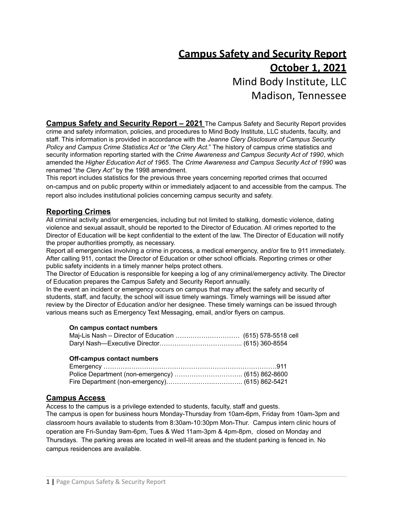# **Campus Safety and Security Report October 1, 2021** Mind Body Institute, LLC

Madison, Tennessee

**Campus Safety and Security Report – 2021** The Campus Safety and Security Report provides crime and safety information, policies, and procedures to Mind Body Institute, LLC students, faculty, and staff. This information is provided in accordance with the *Jeanne Clery Disclosure of Campus Security Policy and Campus Crime Statistics Act* or "*the Clery Act*." The history of campus crime statistics and security information reporting started with the *Crime Awareness and Campus Security Act of 1990*, which amended the *Higher Education Act of 1965*. The *Crime Awareness and Campus Security Act of 1990* was renamed "*the Clery Act"* by the 1998 amendment.

This report includes statistics for the previous three years concerning reported crimes that occurred on-campus and on public property within or immediately adjacent to and accessible from the campus. The report also includes institutional policies concerning campus security and safety.

# **Reporting Crimes**

All criminal activity and/or emergencies, including but not limited to stalking, domestic violence, dating violence and sexual assault, should be reported to the Director of Education. All crimes reported to the Director of Education will be kept confidential to the extent of the law. The Director of Education will notify the proper authorities promptly, as necessary.

Report all emergencies involving a crime in process, a medical emergency, and/or fire to 911 immediately. After calling 911, contact the Director of Education or other school officials. Reporting crimes or other public safety incidents in a timely manner helps protect others.

The Director of Education is responsible for keeping a log of any criminal/emergency activity. The Director of Education prepares the Campus Safety and Security Report annually.

In the event an incident or emergency occurs on campus that may affect the safety and security of students, staff, and faculty, the school will issue timely warnings. Timely warnings will be issued after review by the Director of Education and/or her designee. These timely warnings can be issued through various means such as Emergency Text Messaging, email, and/or flyers on campus.

#### **On campus contact numbers**

### **Off-campus contact numbers**

# **Campus Access**

Access to the campus is a privilege extended to students, faculty, staff and guests.

The campus is open for business hours Monday-Thursday from 10am-6pm, Friday from 10am-3pm and classroom hours available to students from 8:30am-10:30pm Mon-Thur. Campus intern clinic hours of operation are Fri-Sunday 9am-6pm, Tues & Wed 11am-3pm & 4pm-8pm, closed on Monday and Thursdays. The parking areas are located in well-lit areas and the student parking is fenced in. No campus residences are available.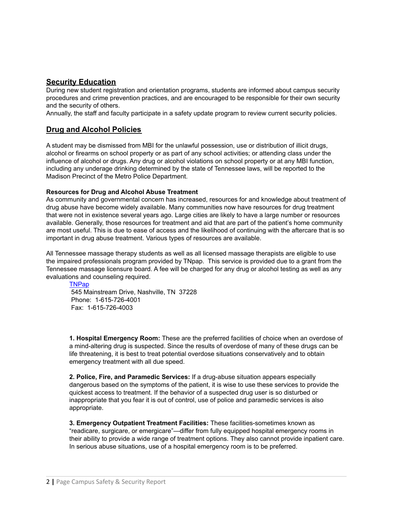# **Security Education**

During new student registration and orientation programs, students are informed about campus security procedures and crime prevention practices, and are encouraged to be responsible for their own security and the security of others.

Annually, the staff and faculty participate in a safety update program to review current security policies.

## **Drug and Alcohol Policies**

A student may be dismissed from MBI for the unlawful possession, use or distribution of illicit drugs, alcohol or firearms on school property or as part of any school activities; or attending class under the influence of alcohol or drugs. Any drug or alcohol violations on school property or at any MBI function, including any underage drinking determined by the state of Tennessee laws, will be reported to the Madison Precinct of the Metro Police Department.

#### **Resources for Drug and Alcohol Abuse Treatment**

As community and governmental concern has increased, resources for and knowledge about treatment of drug abuse have become widely available. Many communities now have resources for drug treatment that were not in existence several years ago. Large cities are likely to have a large number or resources available. Generally, those resources for treatment and aid that are part of the patient's home community are most useful. This is due to ease of access and the likelihood of continuing with the aftercare that is so important in drug abuse treatment. Various types of resources are available.

All Tennessee massage therapy students as well as all licensed massage therapists are eligible to use the impaired professionals program provided by TNpap. This service is provided due to a grant from the Tennessee massage licensure board. A fee will be charged for any drug or alcohol testing as well as any evaluations and counseling required.

#### **[TNPap](http://www.tnpap.org/)**

545 Mainstream Drive, Nashville, TN 37228 Phone: 1-615-726-4001 Fax: 1-615-726-4003

**1. Hospital Emergency Room:** These are the preferred facilities of choice when an overdose of a mind-altering drug is suspected. Since the results of overdose of many of these drugs can be life threatening, it is best to treat potential overdose situations conservatively and to obtain emergency treatment with all due speed.

**2. Police, Fire, and Paramedic Services:** If a drug-abuse situation appears especially dangerous based on the symptoms of the patient, it is wise to use these services to provide the quickest access to treatment. If the behavior of a suspected drug user is so disturbed or inappropriate that you fear it is out of control, use of police and paramedic services is also appropriate.

**3. Emergency Outpatient Treatment Facilities:** These facilities-sometimes known as "readicare, surgicare, or emergicare"—differ from fully equipped hospital emergency rooms in their ability to provide a wide range of treatment options. They also cannot provide inpatient care. In serious abuse situations, use of a hospital emergency room is to be preferred.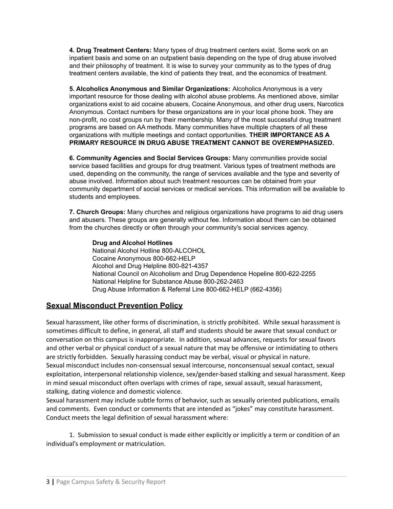**4. Drug Treatment Centers:** Many types of drug treatment centers exist. Some work on an inpatient basis and some on an outpatient basis depending on the type of drug abuse involved and their philosophy of treatment. It is wise to survey your community as to the types of drug treatment centers available, the kind of patients they treat, and the economics of treatment.

**5. Alcoholics Anonymous and Similar Organizations:** Alcoholics Anonymous is a very important resource for those dealing with alcohol abuse problems. As mentioned above, similar organizations exist to aid cocaine abusers, Cocaine Anonymous, and other drug users, Narcotics Anonymous. Contact numbers for these organizations are in your local phone book. They are non-profit, no cost groups run by their membership. Many of the most successful drug treatment programs are based on AA methods. Many communities have multiple chapters of all these organizations with multiple meetings and contact opportunities. **THEIR IMPORTANCE AS A PRIMARY RESOURCE IN DRUG ABUSE TREATMENT CANNOT BE OVEREMPHASIZED.**

**6. Community Agencies and Social Services Groups:** Many communities provide social service based facilities and groups for drug treatment. Various types of treatment methods are used, depending on the community, the range of services available and the type and severity of abuse involved. Information about such treatment resources can be obtained from your community department of social services or medical services. This information will be available to students and employees.

**7. Church Groups:** Many churches and religious organizations have programs to aid drug users and abusers. These groups are generally without fee. Information about them can be obtained from the churches directly or often through your community's social services agency.

**Drug and Alcohol Hotlines** National Alcohol Hotline 800-ALCOHOL Cocaine Anonymous 800-662-HELP Alcohol and Drug Helpline 800-821-4357 National Council on Alcoholism and Drug Dependence Hopeline 800-622-2255 National Helpline for Substance Abuse 800-262-2463 Drug Abuse Information & Referral Line 800-662-HELP (662-4356)

# **Sexual Misconduct Prevention Policy**

Sexual harassment, like other forms of discrimination, is strictly prohibited. While sexual harassment is sometimes difficult to define, in general, all staff and students should be aware that sexual conduct or conversation on this campus is inappropriate. In addition, sexual advances, requests for sexual favors and other verbal or physical conduct of a sexual nature that may be offensive or intimidating to others are strictly forbidden. Sexually harassing conduct may be verbal, visual or physical in nature. Sexual misconduct includes non-consensual sexual intercourse, nonconsensual sexual contact, sexual exploitation, interpersonal relationship violence, sex/gender-based stalking and sexual harassment. Keep in mind sexual misconduct often overlaps with crimes of rape, sexual assault, sexual harassment, stalking, dating violence and domestic violence.

Sexual harassment may include subtle forms of behavior, such as sexually oriented publications, emails and comments. Even conduct or comments that are intended as "jokes" may constitute harassment. Conduct meets the legal definition of sexual harassment where:

1. Submission to sexual conduct is made either explicitly or implicitly a term or condition of an individual's employment or matriculation.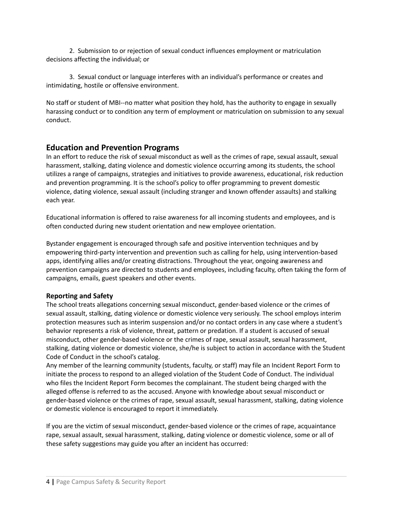2. Submission to or rejection of sexual conduct influences employment or matriculation decisions affecting the individual; or

3. Sexual conduct or language interferes with an individual's performance or creates and intimidating, hostile or offensive environment.

No staff or student of MBI--no matter what position they hold, has the authority to engage in sexually harassing conduct or to condition any term of employment or matriculation on submission to any sexual conduct.

# **Education and Prevention Programs**

In an effort to reduce the risk of sexual misconduct as well as the crimes of rape, sexual assault, sexual harassment, stalking, dating violence and domestic violence occurring among its students, the school utilizes a range of campaigns, strategies and initiatives to provide awareness, educational, risk reduction and prevention programming. It is the school's policy to offer programming to prevent domestic violence, dating violence, sexual assault (including stranger and known offender assaults) and stalking each year.

Educational information is offered to raise awareness for all incoming students and employees, and is often conducted during new student orientation and new employee orientation.

Bystander engagement is encouraged through safe and positive intervention techniques and by empowering third-party intervention and prevention such as calling for help, using intervention-based apps, identifying allies and/or creating distractions. Throughout the year, ongoing awareness and prevention campaigns are directed to students and employees, including faculty, often taking the form of campaigns, emails, guest speakers and other events.

# **Reporting and Safety**

The school treats allegations concerning sexual misconduct, gender-based violence or the crimes of sexual assault, stalking, dating violence or domestic violence very seriously. The school employs interim protection measures such as interim suspension and/or no contact orders in any case where a student's behavior represents a risk of violence, threat, pattern or predation. If a student is accused of sexual misconduct, other gender-based violence or the crimes of rape, sexual assault, sexual harassment, stalking, dating violence or domestic violence, she/he is subject to action in accordance with the Student Code of Conduct in the school's catalog.

Any member of the learning community (students, faculty, or staff) may file an Incident Report Form to initiate the process to respond to an alleged violation of the Student Code of Conduct. The individual who files the Incident Report Form becomes the complainant. The student being charged with the alleged offense is referred to as the accused. Anyone with knowledge about sexual misconduct or gender-based violence or the crimes of rape, sexual assault, sexual harassment, stalking, dating violence or domestic violence is encouraged to report it immediately.

If you are the victim of sexual misconduct, gender-based violence or the crimes of rape, acquaintance rape, sexual assault, sexual harassment, stalking, dating violence or domestic violence, some or all of these safety suggestions may guide you after an incident has occurred: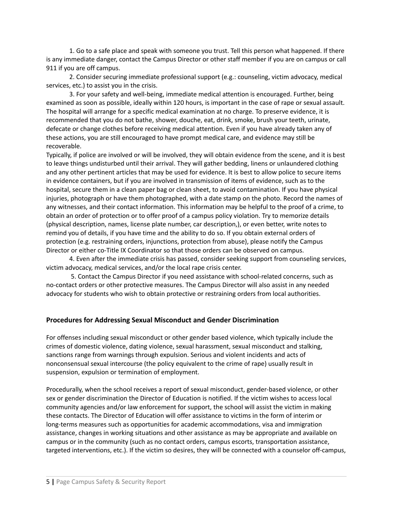1. Go to a safe place and speak with someone you trust. Tell this person what happened. If there is any immediate danger, contact the Campus Director or other staff member if you are on campus or call 911 if you are off campus.

2. Consider securing immediate professional support (e.g.: counseling, victim advocacy, medical services, etc.) to assist you in the crisis.

3. For your safety and well-being, immediate medical attention is encouraged. Further, being examined as soon as possible, ideally within 120 hours, is important in the case of rape or sexual assault. The hospital will arrange for a specific medical examination at no charge. To preserve evidence, it is recommended that you do not bathe, shower, douche, eat, drink, smoke, brush your teeth, urinate, defecate or change clothes before receiving medical attention. Even if you have already taken any of these actions, you are still encouraged to have prompt medical care, and evidence may still be recoverable.

Typically, if police are involved or will be involved, they will obtain evidence from the scene, and it is best to leave things undisturbed until their arrival. They will gather bedding, linens or unlaundered clothing and any other pertinent articles that may be used for evidence. It is best to allow police to secure items in evidence containers, but if you are involved in transmission of items of evidence, such as to the hospital, secure them in a clean paper bag or clean sheet, to avoid contamination. If you have physical injuries, photograph or have them photographed, with a date stamp on the photo. Record the names of any witnesses, and their contact information. This information may be helpful to the proof of a crime, to obtain an order of protection or to offer proof of a campus policy violation. Try to memorize details (physical description, names, license plate number, car description,), or even better, write notes to remind you of details, if you have time and the ability to do so. If you obtain external orders of protection (e.g. restraining orders, injunctions, protection from abuse), please notify the Campus Director or either co-Title IX Coordinator so that those orders can be observed on campus.

4. Even after the immediate crisis has passed, consider seeking support from counseling services, victim advocacy, medical services, and/or the local rape crisis center.

5. Contact the Campus Director if you need assistance with school-related concerns, such as no-contact orders or other protective measures. The Campus Director will also assist in any needed advocacy for students who wish to obtain protective or restraining orders from local authorities.

### **Procedures for Addressing Sexual Misconduct and Gender Discrimination**

For offenses including sexual misconduct or other gender based violence, which typically include the crimes of domestic violence, dating violence, sexual harassment, sexual misconduct and stalking, sanctions range from warnings through expulsion. Serious and violent incidents and acts of nonconsensual sexual intercourse (the policy equivalent to the crime of rape) usually result in suspension, expulsion or termination of employment.

Procedurally, when the school receives a report of sexual misconduct, gender-based violence, or other sex or gender discrimination the Director of Education is notified. If the victim wishes to access local community agencies and/or law enforcement for support, the school will assist the victim in making these contacts. The Director of Education will offer assistance to victims in the form of interim or long-terms measures such as opportunities for academic accommodations, visa and immigration assistance, changes in working situations and other assistance as may be appropriate and available on campus or in the community (such as no contact orders, campus escorts, transportation assistance, targeted interventions, etc.). If the victim so desires, they will be connected with a counselor off-campus,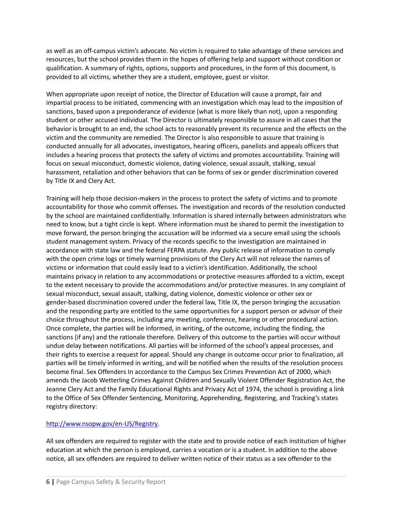as well as an off-campus victim's advocate. No victim is required to take advantage of these services and resources, but the school provides them in the hopes of offering help and support without condition or qualification. A summary of rights, options, supports and procedures, in the form of this document, is provided to all victims, whether they are a student, employee, guest or visitor.

When appropriate upon receipt of notice, the Director of Education will cause a prompt, fair and impartial process to be initiated, commencing with an investigation which may lead to the imposition of sanctions, based upon a preponderance of evidence (what is more likely than not), upon a responding student or other accused individual. The Director is ultimately responsible to assure in all cases that the behavior is brought to an end, the school acts to reasonably prevent its recurrence and the effects on the victim and the community are remedied. The Director is also responsible to assure that training is conducted annually for all advocates, investigators, hearing officers, panelists and appeals officers that includes a hearing process that protects the safety of victims and promotes accountability. Training will focus on sexual misconduct, domestic violence, dating violence, sexual assault, stalking, sexual harassment, retaliation and other behaviors that can be forms of sex or gender discrimination covered by Title IX and Clery Act.

Training will help those decision-makers in the process to protect the safety of victims and to promote accountability for those who commit offenses. The investigation and records of the resolution conducted by the school are maintained confidentially. Information is shared internally between administrators who need to know, but a tight circle is kept. Where information must be shared to permit the investigation to move forward, the person bringing the accusation will be informed via a secure email using the schools student management system. Privacy of the records specific to the investigation are maintained in accordance with state law and the federal FERPA statute. Any public release of information to comply with the open crime logs or timely warning provisions of the Clery Act will not release the names of victims or information that could easily lead to a victim's identification. Additionally, the school maintains privacy in relation to any accommodations or protective measures afforded to a victim, except to the extent necessary to provide the accommodations and/or protective measures. In any complaint of sexual misconduct, sexual assault, stalking, dating violence, domestic violence or other sex or gender-based discrimination covered under the federal law, Title IX, the person bringing the accusation and the responding party are entitled to the same opportunities for a support person or advisor of their choice throughout the process, including any meeting, conference, hearing or other procedural action. Once complete, the parties will be informed, in writing, of the outcome, including the finding, the sanctions (if any) and the rationale therefore. Delivery of this outcome to the parties will occur without undue delay between notifications. All parties will be informed of the school's appeal processes, and their rights to exercise a request for appeal. Should any change in outcome occur prior to finalization, all parties will be timely informed in writing, and will be notified when the results of the resolution process become final. Sex Offenders In accordance to the Campus Sex Crimes Prevention Act of 2000, which amends the Jacob Wetterling Crimes Against Children and Sexually Violent Offender Registration Act, the Jeanne Clery Act and the Family Educational Rights and Privacy Act of 1974, the school is providing a link to the Office of Sex Offender Sentencing, Monitoring, Apprehending, Registering, and Tracking's states registry directory:

### [http://www.nsopw.gov/en-US/Registry.](http://www.nsopw.gov/en-US/Registry)

All sex offenders are required to register with the state and to provide notice of each institution of higher education at which the person is employed, carries a vocation or is a student. In addition to the above notice, all sex offenders are required to deliver written notice of their status as a sex offender to the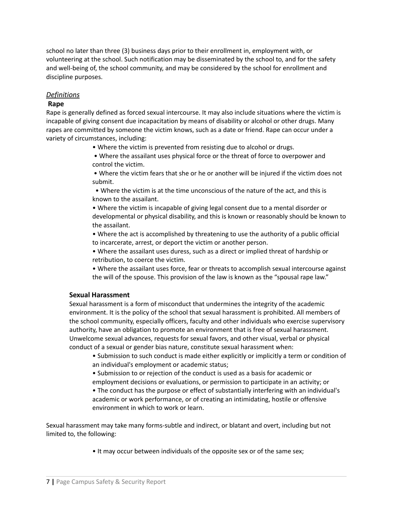school no later than three (3) business days prior to their enrollment in, employment with, or volunteering at the school. Such notification may be disseminated by the school to, and for the safety and well-being of, the school community, and may be considered by the school for enrollment and discipline purposes.

## *Definitions*

## **Rape**

Rape is generally defined as forced sexual intercourse. It may also include situations where the victim is incapable of giving consent due incapacitation by means of disability or alcohol or other drugs. Many rapes are committed by someone the victim knows, such as a date or friend. Rape can occur under a variety of circumstances, including:

- Where the victim is prevented from resisting due to alcohol or drugs.
- Where the assailant uses physical force or the threat of force to overpower and control the victim.

• Where the victim fears that she or he or another will be injured if the victim does not submit.

• Where the victim is at the time unconscious of the nature of the act, and this is known to the assailant.

• Where the victim is incapable of giving legal consent due to a mental disorder or developmental or physical disability, and this is known or reasonably should be known to the assailant.

• Where the act is accomplished by threatening to use the authority of a public official to incarcerate, arrest, or deport the victim or another person.

• Where the assailant uses duress, such as a direct or implied threat of hardship or retribution, to coerce the victim.

• Where the assailant uses force, fear or threats to accomplish sexual intercourse against the will of the spouse. This provision of the law is known as the "spousal rape law."

### **Sexual Harassment**

Sexual harassment is a form of misconduct that undermines the integrity of the academic environment. It is the policy of the school that sexual harassment is prohibited. All members of the school community, especially officers, faculty and other individuals who exercise supervisory authority, have an obligation to promote an environment that is free of sexual harassment. Unwelcome sexual advances, requests for sexual favors, and other visual, verbal or physical conduct of a sexual or gender bias nature, constitute sexual harassment when:

• Submission to such conduct is made either explicitly or implicitly a term or condition of an individual's employment or academic status;

• Submission to or rejection of the conduct is used as a basis for academic or employment decisions or evaluations, or permission to participate in an activity; or

• The conduct has the purpose or effect of substantially interfering with an individual's academic or work performance, or of creating an intimidating, hostile or offensive environment in which to work or learn.

Sexual harassment may take many forms-subtle and indirect, or blatant and overt, including but not limited to, the following:

• It may occur between individuals of the opposite sex or of the same sex;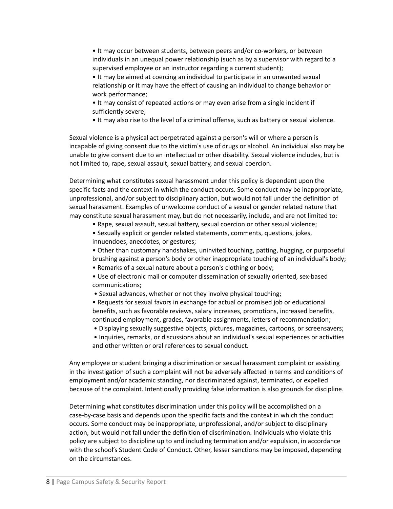• It may occur between students, between peers and/or co-workers, or between individuals in an unequal power relationship (such as by a supervisor with regard to a supervised employee or an instructor regarding a current student);

• It may be aimed at coercing an individual to participate in an unwanted sexual relationship or it may have the effect of causing an individual to change behavior or work performance;

• It may consist of repeated actions or may even arise from a single incident if sufficiently severe;

• It may also rise to the level of a criminal offense, such as battery or sexual violence.

Sexual violence is a physical act perpetrated against a person's will or where a person is incapable of giving consent due to the victim's use of drugs or alcohol. An individual also may be unable to give consent due to an intellectual or other disability. Sexual violence includes, but is not limited to, rape, sexual assault, sexual battery, and sexual coercion.

Determining what constitutes sexual harassment under this policy is dependent upon the specific facts and the context in which the conduct occurs. Some conduct may be inappropriate, unprofessional, and/or subject to disciplinary action, but would not fall under the definition of sexual harassment. Examples of unwelcome conduct of a sexual or gender related nature that may constitute sexual harassment may, but do not necessarily, include, and are not limited to:

- Rape, sexual assault, sexual battery, sexual coercion or other sexual violence;
- Sexually explicit or gender related statements, comments, questions, jokes, innuendoes, anecdotes, or gestures;

• Other than customary handshakes, uninvited touching, patting, hugging, or purposeful brushing against a person's body or other inappropriate touching of an individual's body;

- Remarks of a sexual nature about a person's clothing or body;
- Use of electronic mail or computer dissemination of sexually oriented, sex-based communications;
- Sexual advances, whether or not they involve physical touching;

• Requests for sexual favors in exchange for actual or promised job or educational benefits, such as favorable reviews, salary increases, promotions, increased benefits, continued employment, grades, favorable assignments, letters of recommendation;

- Displaying sexually suggestive objects, pictures, magazines, cartoons, or screensavers;
- Inquiries, remarks, or discussions about an individual's sexual experiences or activities and other written or oral references to sexual conduct.

Any employee or student bringing a discrimination or sexual harassment complaint or assisting in the investigation of such a complaint will not be adversely affected in terms and conditions of employment and/or academic standing, nor discriminated against, terminated, or expelled because of the complaint. Intentionally providing false information is also grounds for discipline.

Determining what constitutes discrimination under this policy will be accomplished on a case-by-case basis and depends upon the specific facts and the context in which the conduct occurs. Some conduct may be inappropriate, unprofessional, and/or subject to disciplinary action, but would not fall under the definition of discrimination. Individuals who violate this policy are subject to discipline up to and including termination and/or expulsion, in accordance with the school's Student Code of Conduct. Other, lesser sanctions may be imposed, depending on the circumstances.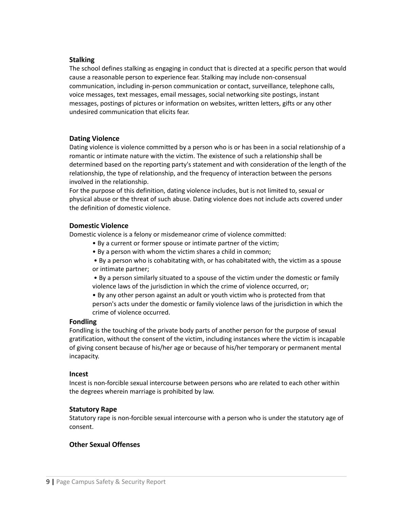#### **Stalking**

The school defines stalking as engaging in conduct that is directed at a specific person that would cause a reasonable person to experience fear. Stalking may include non-consensual communication, including in-person communication or contact, surveillance, telephone calls, voice messages, text messages, email messages, social networking site postings, instant messages, postings of pictures or information on websites, written letters, gifts or any other undesired communication that elicits fear.

#### **Dating Violence**

Dating violence is violence committed by a person who is or has been in a social relationship of a romantic or intimate nature with the victim. The existence of such a relationship shall be determined based on the reporting party's statement and with consideration of the length of the relationship, the type of relationship, and the frequency of interaction between the persons involved in the relationship.

For the purpose of this definition, dating violence includes, but is not limited to, sexual or physical abuse or the threat of such abuse. Dating violence does not include acts covered under the definition of domestic violence.

#### **Domestic Violence**

Domestic violence is a felony or misdemeanor crime of violence committed:

- By a current or former spouse or intimate partner of the victim;
- By a person with whom the victim shares a child in common;
- By a person who is cohabitating with, or has cohabitated with, the victim as a spouse or intimate partner;

• By a person similarly situated to a spouse of the victim under the domestic or family violence laws of the jurisdiction in which the crime of violence occurred, or;

• By any other person against an adult or youth victim who is protected from that person's acts under the domestic or family violence laws of the jurisdiction in which the crime of violence occurred.

### **Fondling**

Fondling is the touching of the private body parts of another person for the purpose of sexual gratification, without the consent of the victim, including instances where the victim is incapable of giving consent because of his/her age or because of his/her temporary or permanent mental incapacity.

#### **Incest**

Incest is non-forcible sexual intercourse between persons who are related to each other within the degrees wherein marriage is prohibited by law.

### **Statutory Rape**

Statutory rape is non-forcible sexual intercourse with a person who is under the statutory age of consent.

### **Other Sexual Offenses**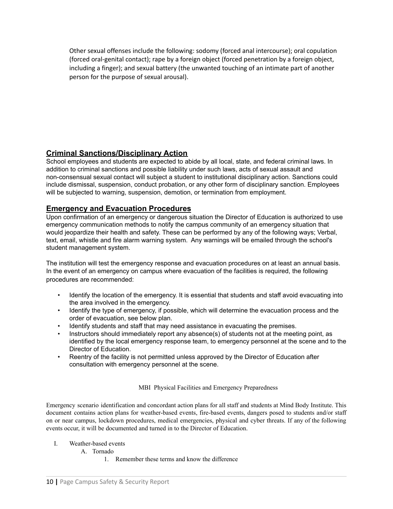Other sexual offenses include the following: sodomy (forced anal intercourse); oral copulation (forced oral-genital contact); rape by a foreign object (forced penetration by a foreign object, including a finger); and sexual battery (the unwanted touching of an intimate part of another person for the purpose of sexual arousal).

# **Criminal Sanctions/Disciplinary Action**

School employees and students are expected to abide by all local, state, and federal criminal laws. In addition to criminal sanctions and possible liability under such laws, acts of sexual assault and non-consensual sexual contact will subject a student to institutional disciplinary action. Sanctions could include dismissal, suspension, conduct probation, or any other form of disciplinary sanction. Employees will be subjected to warning, suspension, demotion, or termination from employment.

# **Emergency and Evacuation Procedures**

Upon confirmation of an emergency or dangerous situation the Director of Education is authorized to use emergency communication methods to notify the campus community of an emergency situation that would jeopardize their health and safety. These can be performed by any of the following ways; Verbal, text, email, whistle and fire alarm warning system. Any warnings will be emailed through the school's student management system.

The institution will test the emergency response and evacuation procedures on at least an annual basis. In the event of an emergency on campus where evacuation of the facilities is required, the following procedures are recommended:

- Identify the location of the emergency. It is essential that students and staff avoid evacuating into the area involved in the emergency.
- Identify the type of emergency, if possible, which will determine the evacuation process and the order of evacuation, see below plan.
- Identify students and staff that may need assistance in evacuating the premises.
- Instructors should immediately report any absence(s) of students not at the meeting point, as identified by the local emergency response team, to emergency personnel at the scene and to the Director of Education.
- Reentry of the facility is not permitted unless approved by the Director of Education after consultation with emergency personnel at the scene.

MBI Physical Facilities and Emergency Preparedness

Emergency scenario identification and concordant action plans for all staff and students at Mind Body Institute. This document contains action plans for weather-based events, fire-based events, dangers posed to students and/or staff on or near campus, lockdown procedures, medical emergencies, physical and cyber threats. If any of the following events occur, it will be documented and turned in to the Director of Education.

- I. Weather-based events
	- A. Tornado
		- 1. Remember these terms and know the difference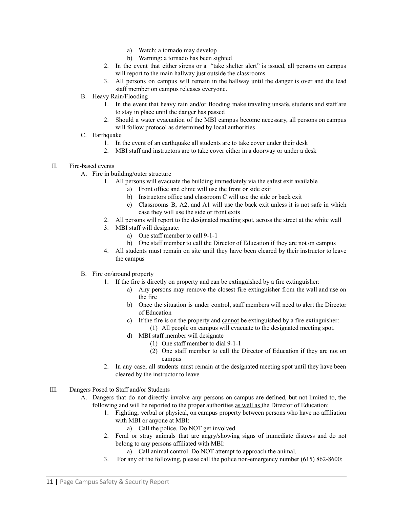- a) Watch: a tornado may develop
- b) Warning: a tornado has been sighted
- 2. In the event that either sirens or a "take shelter alert" is issued, all persons on campus will report to the main hallway just outside the classrooms
- 3. All persons on campus will remain in the hallway until the danger is over and the lead staff member on campus releases everyone.
- B. Heavy Rain/Flooding
	- 1. In the event that heavy rain and/or flooding make traveling unsafe, students and staff are to stay in place until the danger has passed
	- 2. Should a water evacuation of the MBI campus become necessary, all persons on campus will follow protocol as determined by local authorities
- C. Earthquake
	- 1. In the event of an earthquake all students are to take cover under their desk
	- 2. MBI staff and instructors are to take cover either in a doorway or under a desk
- II. Fire-based events
	- A. Fire in building/outer structure
		- 1. All persons will evacuate the building immediately via the safest exit available
			- a) Front office and clinic will use the front or side exit
			- b) Instructors office and classroom C will use the side or back exit
			- c) Classrooms B, A2, and A1 will use the back exit unless it is not safe in which case they will use the side or front exits
		- 2. All persons will report to the designated meeting spot, across the street at the white wall
		- 3. MBI staff will designate:
			- a) One staff member to call 9-1-1
			- b) One staff member to call the Director of Education if they are not on campus
		- 4. All students must remain on site until they have been cleared by their instructor to leave the campus
	- B. Fire on/around property
		- 1. If the fire is directly on property and can be extinguished by a fire extinguisher:
			- a) Any persons may remove the closest fire extinguisher from the wall and use on the fire
			- b) Once the situation is under control, staff members will need to alert the Director of Education
			- c) If the fire is on the property and cannot be extinguished by a fire extinguisher: (1) All people on campus will evacuate to the designated meeting spot.
			- d) MBI staff member will designate
				- (1) One staff member to dial 9-1-1
				- (2) One staff member to call the Director of Education if they are not on campus
		- 2. In any case, all students must remain at the designated meeting spot until they have been cleared by the instructor to leave
- III. Dangers Posed to Staff and/or Students
	- A. Dangers that do not directly involve any persons on campus are defined, but not limited to, the following and will be reported to the proper authorities as well as the Director of Education:
		- 1. Fighting, verbal or physical, on campus property between persons who have no affiliation with MBI or anyone at MBI:
			- a) Call the police. Do NOT get involved.
		- 2. Feral or stray animals that are angry/showing signs of immediate distress and do not belong to any persons affiliated with MBI:
			- a) Call animal control. Do NOT attempt to approach the animal.
		- 3. For any of the following, please call the police non-emergency number (615) 862-8600: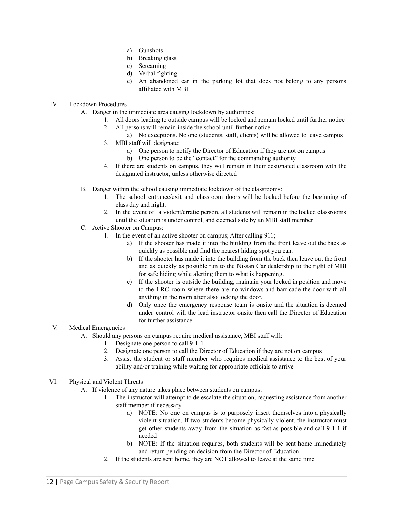- a) Gunshots
- b) Breaking glass
- c) Screaming
- d) Verbal fighting
- e) An abandoned car in the parking lot that does not belong to any persons affiliated with MBI

#### IV. Lockdown Procedures

- A. Danger in the immediate area causing lockdown by authorities:
	- 1. All doors leading to outside campus will be locked and remain locked until further notice
	- 2. All persons will remain inside the school until further notice
	- a) No exceptions. No one (students, staff, clients) will be allowed to leave campus 3. MBI staff will designate:
		- a) One person to notify the Director of Education if they are not on campus
		- b) One person to be the "contact" for the commanding authority
	- 4. If there are students on campus, they will remain in their designated classroom with the designated instructor, unless otherwise directed
- B. Danger within the school causing immediate lockdown of the classrooms:
	- 1. The school entrance/exit and classroom doors will be locked before the beginning of class day and night.
	- 2. In the event of a violent/erratic person, all students will remain in the locked classrooms until the situation is under control, and deemed safe by an MBI staff member
- C. Active Shooter on Campus:
	- 1. In the event of an active shooter on campus; After calling 911;
		- a) If the shooter has made it into the building from the front leave out the back as quickly as possible and find the nearest hiding spot you can.
		- b) If the shooter has made it into the building from the back then leave out the front and as quickly as possible run to the Nissan Car dealership to the right of MBI for safe hiding while alerting them to what is happening.
		- c) If the shooter is outside the building, maintain your locked in position and move to the LRC room where there are no windows and barricade the door with all anything in the room after also locking the door.
		- d) Only once the emergency response team is onsite and the situation is deemed under control will the lead instructor onsite then call the Director of Education for further assistance.
- V. Medical Emergencies
	- A. Should any persons on campus require medical assistance, MBI staff will:
		- 1. Designate one person to call 9-1-1
		- 2. Designate one person to call the Director of Education if they are not on campus
		- 3. Assist the student or staff member who requires medical assistance to the best of your ability and/or training while waiting for appropriate officials to arrive
- VI. Physical and Violent Threats
	- A. If violence of any nature takes place between students on campus:
		- 1. The instructor will attempt to de escalate the situation, requesting assistance from another staff member if necessary
			- a) NOTE: No one on campus is to purposely insert themselves into a physically violent situation. If two students become physically violent, the instructor must get other students away from the situation as fast as possible and call 9-1-1 if needed
			- b) NOTE: If the situation requires, both students will be sent home immediately and return pending on decision from the Director of Education
		- 2. If the students are sent home, they are NOT allowed to leave at the same time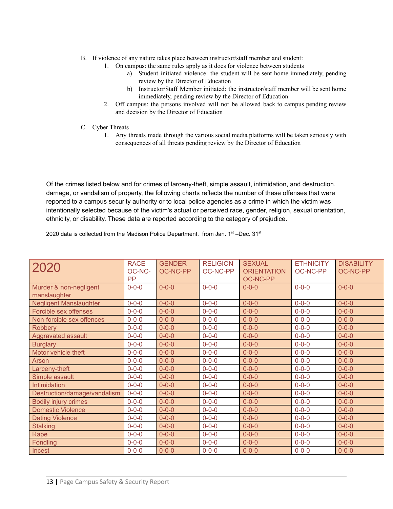- B. If violence of any nature takes place between instructor/staff member and student:
	- 1. On campus: the same rules apply as it does for violence between students
		- a) Student initiated violence: the student will be sent home immediately, pending review by the Director of Education
		- b) Instructor/Staff Member initiated: the instructor/staff member will be sent home immediately, pending review by the Director of Education
	- 2. Off campus: the persons involved will not be allowed back to campus pending review and decision by the Director of Education
- C. Cyber Threats
	- 1. Any threats made through the various social media platforms will be taken seriously with consequences of all threats pending review by the Director of Education

Of the crimes listed below and for crimes of larceny-theft, simple assault, intimidation, and destruction, damage, or vandalism of property, the following charts reflects the number of these offenses that were reported to a campus security authority or to local police agencies as a crime in which the victim was intentionally selected because of the victim's actual or perceived race, gender, religion, sexual orientation, ethnicity, or disability. These data are reported according to the category of prejudice.

2020 data is collected from the Madison Police Department. from Jan.  $1^{st}$ -Dec.  $31^{st}$ 

| 2020                                   | <b>RACE</b><br>OC-NC-<br><b>PP</b> | <b>GENDER</b><br><b>OC-NC-PP</b> | <b>RELIGION</b><br>OC-NC-PP | <b>SEXUAL</b><br><b>ORIENTATION</b><br><b>OC-NC-PP</b> | <b>ETHNICITY</b><br>OC-NC-PP | <b>DISABILITY</b><br><b>OC-NC-PP</b> |
|----------------------------------------|------------------------------------|----------------------------------|-----------------------------|--------------------------------------------------------|------------------------------|--------------------------------------|
| Murder & non-negligent<br>manslaughter | $0 - 0 - 0$                        | $0 - 0 - 0$                      | $0 - 0 - 0$                 | $0 - 0 - 0$                                            | $0 - 0 - 0$                  | $0 - 0 - 0$                          |
| <b>Negligent Manslaughter</b>          | $0 - 0 - 0$                        | $0 - 0 - 0$                      | $0 - 0 - 0$                 | $0 - 0 - 0$                                            | $0 - 0 - 0$                  | $0 - 0 - 0$                          |
| Forcible sex offenses                  | $0 - 0 - 0$                        | $0 - 0 - 0$                      | $0 - 0 - 0$                 | $0 - 0 - 0$                                            | $0 - 0 - 0$                  | $0 - 0 - 0$                          |
| Non-forcible sex offences              | $0 - 0 - 0$                        | $0 - 0 - 0$                      | $0 - 0 - 0$                 | $0 - 0 - 0$                                            | $0 - 0 - 0$                  | $0 - 0 - 0$                          |
| <b>Robbery</b>                         | $0 - 0 - 0$                        | $0 - 0 - 0$                      | $0 - 0 - 0$                 | $0 - 0 - 0$                                            | $0 - 0 - 0$                  | $0 - 0 - 0$                          |
| Aggravated assault                     | $0 - 0 - 0$                        | $0 - 0 - 0$                      | $0 - 0 - 0$                 | $0 - 0 - 0$                                            | $0 - 0 - 0$                  | $0 - 0 - 0$                          |
| <b>Burglary</b>                        | $0 - 0 - 0$                        | $0 - 0 - 0$                      | $0 - 0 - 0$                 | $0 - 0 - 0$                                            | $0 - 0 - 0$                  | $0 - 0 - 0$                          |
| Motor vehicle theft                    | $0 - 0 - 0$                        | $0 - 0 - 0$                      | $0 - 0 - 0$                 | $0 - 0 - 0$                                            | $0 - 0 - 0$                  | $0 - 0 - 0$                          |
| Arson                                  | $0 - 0 - 0$                        | $0 - 0 - 0$                      | $0 - 0 - 0$                 | $0 - 0 - 0$                                            | $0 - 0 - 0$                  | $0 - 0 - 0$                          |
| Larceny-theft                          | $0 - 0 - 0$                        | $0 - 0 - 0$                      | $0 - 0 - 0$                 | $0 - 0 - 0$                                            | $0 - 0 - 0$                  | $0 - 0 - 0$                          |
| Simple assault                         | $0 - 0 - 0$                        | $0 - 0 - 0$                      | $0 - 0 - 0$                 | $0 - 0 - 0$                                            | $0 - 0 - 0$                  | $0 - 0 - 0$                          |
| Intimidation                           | $0 - 0 - 0$                        | $0 - 0 - 0$                      | $0 - 0 - 0$                 | $0 - 0 - 0$                                            | $0 - 0 - 0$                  | $0 - 0 - 0$                          |
| Destruction/damage/vandalism           | $0 - 0 - 0$                        | $0 - 0 - 0$                      | $0 - 0 - 0$                 | $0 - 0 - 0$                                            | $0 - 0 - 0$                  | $0 - 0 - 0$                          |
| <b>Bodily injury crimes</b>            | $0 - 0 - 0$                        | $0 - 0 - 0$                      | $0 - 0 - 0$                 | $0 - 0 - 0$                                            | $0 - 0 - 0$                  | $0 - 0 - 0$                          |
| <b>Domestic Violence</b>               | $0 - 0 - 0$                        | $0 - 0 - 0$                      | $0 - 0 - 0$                 | $0 - 0 - 0$                                            | $0 - 0 - 0$                  | $0 - 0 - 0$                          |
| <b>Dating Violence</b>                 | $0 - 0 - 0$                        | $0 - 0 - 0$                      | $0 - 0 - 0$                 | $0 - 0 - 0$                                            | $0 - 0 - 0$                  | $0 - 0 - 0$                          |
| <b>Stalking</b>                        | $0 - 0 - 0$                        | $0 - 0 - 0$                      | $0 - 0 - 0$                 | $0 - 0 - 0$                                            | $0 - 0 - 0$                  | $0 - 0 - 0$                          |
| Rape                                   | $0 - 0 - 0$                        | $0 - 0 - 0$                      | $0 - 0 - 0$                 | $0 - 0 - 0$                                            | $0 - 0 - 0$                  | $0 - 0 - 0$                          |
| Fondling                               | $0 - 0 - 0$                        | $0 - 0 - 0$                      | $0 - 0 - 0$                 | $0 - 0 - 0$                                            | $0 - 0 - 0$                  | $0 - 0 - 0$                          |
| Incest                                 | $0 - 0 - 0$                        | $0 - 0 - 0$                      | $0 - 0 - 0$                 | $0 - 0 - 0$                                            | $0 - 0 - 0$                  | $0 - 0 - 0$                          |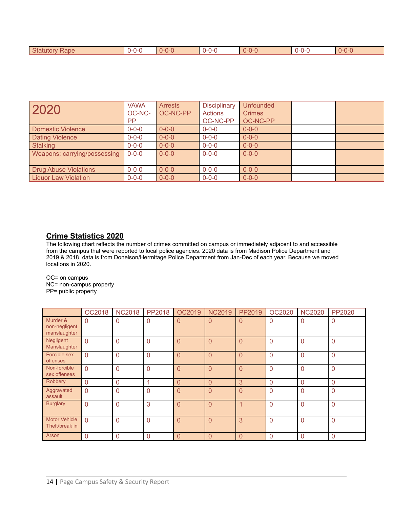| Statutory<br>Rape | $0 - 0 - C$ | $0 - 0 - C$ | $0 - 0 - 0$ | $\sim$<br>$\sim$<br><u>U-U-U</u> | $0 - 0 - C$ |
|-------------------|-------------|-------------|-------------|----------------------------------|-------------|
|                   |             |             |             |                                  |             |

| 2020                         | <b>VAWA</b><br>OC-NC-<br>PP. | <b>Arrests</b><br>OC-NC-PP | <b>Disciplinary</b><br><b>Actions</b><br>OC-NC-PP | <b>Unfounded</b><br><b>Crimes</b><br>OC-NC-PP |  |
|------------------------------|------------------------------|----------------------------|---------------------------------------------------|-----------------------------------------------|--|
| Domestic Violence            | $0 - 0 - 0$                  | $0 - 0 - 0$                | $0 - 0 - 0$                                       | $0 - 0 - 0$                                   |  |
| <b>Dating Violence</b>       | $0 - 0 - 0$                  | $0 - 0 - 0$                | $0 - 0 - 0$                                       | $0 - 0 - 0$                                   |  |
| <b>Stalking</b>              | $0 - 0 - 0$                  | $0 - 0 - 0$                | $0 - 0 - 0$                                       | $0 - 0 - 0$                                   |  |
| Weapons; carrying/possessing | $0 - 0 - 0$                  | $0 - 0 - 0$                | $0 - 0 - 0$                                       | $0 - 0 - 0$                                   |  |
| <b>Drug Abuse Violations</b> | $0 - 0 - 0$                  | $0 - 0 - 0$                | $0 - 0 - 0$                                       | $0 - 0 - 0$                                   |  |
| Liquor Law Violation         | $0 - 0 - 0$                  | $0 - 0 - 0$                | $0 - 0 - 0$                                       | $0 - 0 - 0$                                   |  |

# **Crime Statistics 2020**

The following chart reflects the number of crimes committed on campus or immediately adjacent to and accessible from the campus that were reported to local police agencies. 2020 data is from Madison Police Department and , 2019 & 2018 data is from Donelson/Hermitage Police Department from Jan-Dec of each year. Because we moved locations in 2020.

OC= on campus NC= non-campus property PP= public property

|                                           | <b>OC2018</b> | <b>NC2018</b> | PP2018         | OC2019         | <b>NC2019</b>  | PP2019         | <b>OC2020</b>  | <b>NC2020</b>  | PP2020       |
|-------------------------------------------|---------------|---------------|----------------|----------------|----------------|----------------|----------------|----------------|--------------|
| Murder &<br>non-negligent<br>manslaughter | $\mathbf{0}$  | $\mathbf{0}$  | $\mathbf 0$    | $\overline{0}$ | 0              | $\overline{0}$ | 0              | 0              | 0            |
| Negligent<br>Manslaughter                 | $\Omega$      | $\Omega$      | $\overline{0}$ | $\overline{0}$ | $\Omega$       | $\Omega$       | $\Omega$       | 0              | $\Omega$     |
| Forcible sex<br>offenses                  | $\Omega$      | $\Omega$      | $\overline{0}$ | $\overline{0}$ | $\overline{0}$ | $\Omega$       | $\Omega$       | 0              | $\Omega$     |
| Non-forcible<br>sex offenses              | $\Omega$      | $\Omega$      | $\overline{0}$ | $\overline{0}$ | $\overline{0}$ | $\overline{0}$ | $\overline{0}$ | $\mathbf 0$    | $\Omega$     |
| Robbery                                   | $\mathbf{0}$  | $\mathbf{0}$  | 1              | $\overline{0}$ | $\overline{0}$ | 3              | $\mathbf 0$    | 0              | $\mathbf{0}$ |
| Aggravated<br>assault                     | $\Omega$      | $\Omega$      | $\mathbf 0$    | $\overline{0}$ | $\overline{0}$ | 0              | 0              | 0              | $\Omega$     |
| <b>Burglary</b>                           | $\Omega$      | $\Omega$      | 3              | $\Omega$       | $\Omega$       | 1              | $\Omega$       | $\Omega$       | $\Omega$     |
| <b>Motor Vehicle</b><br>Theft/break in    | $\Omega$      | $\Omega$      | $\overline{0}$ | $\overline{0}$ | $\Omega$       | 3              | $\Omega$       | 0              | $\Omega$     |
| Arson                                     | $\mathbf{0}$  | $\Omega$      | $\mathbf{0}$   | $\Omega$       | $\Omega$       | $\Omega$       | $\Omega$       | $\overline{0}$ | $\Omega$     |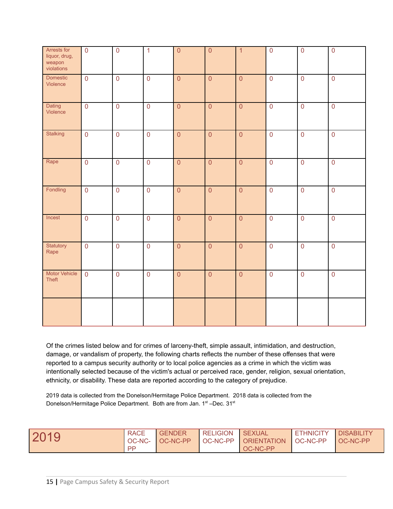| Arrests for<br>liquor, drug,<br>weapon<br>violations | $\overline{0}$      | $\overline{0}$ | $\overline{1}$ | $\overline{0}$ | $\overline{0}$ | $\overline{1}$ | $\overline{0}$ | $\overline{0}$ | $\overline{0}$ |
|------------------------------------------------------|---------------------|----------------|----------------|----------------|----------------|----------------|----------------|----------------|----------------|
| Domestic<br>Violence                                 | $\overline{0}$      | $\overline{0}$ | $\overline{0}$ | $\overline{0}$ | $\overline{0}$ | $\overline{0}$ | $\overline{0}$ | $\overline{0}$ | $\overline{0}$ |
| Dating<br>Violence                                   | $\overline{0}$      | $\overline{0}$ | $\overline{0}$ | $\overline{0}$ | $\overline{0}$ | $\overline{0}$ | $\overline{0}$ | $\overline{0}$ | $\overline{0}$ |
| Stalking                                             | $\mathsf{O}\xspace$ | $\overline{0}$ | $\overline{0}$ | $\overline{0}$ | $\overline{0}$ | $\overline{0}$ | $\overline{0}$ | $\overline{0}$ | $\overline{0}$ |
| Rape                                                 | $\overline{0}$      | $\overline{0}$ | $\overline{0}$ | $\overline{0}$ | $\overline{0}$ | $\overline{0}$ | $\overline{0}$ | $\overline{0}$ | $\overline{0}$ |
| Fondling                                             | $\mathbf 0$         | $\overline{0}$ | $\overline{0}$ | $\overline{0}$ | $\overline{0}$ | $\overline{0}$ | $\overline{0}$ | $\overline{0}$ | $\overline{0}$ |
| Incest                                               | $\mathsf 0$         | $\overline{0}$ | $\overline{0}$ | $\overline{0}$ | $\overline{0}$ | $\overline{0}$ | $\overline{0}$ | $\overline{0}$ | $\overline{0}$ |
| Statutory<br>Rape                                    | $\mathsf{O}\xspace$ | $\overline{0}$ | $\overline{0}$ | $\overline{0}$ | $\overline{0}$ | $\overline{0}$ | $\overline{0}$ | $\overline{0}$ | $\overline{0}$ |
| <b>Motor Vehicle</b><br>Theft                        | $\overline{0}$      | $\overline{0}$ | $\overline{0}$ | $\overline{0}$ | $\overline{0}$ | $\overline{0}$ | $\overline{0}$ | $\overline{0}$ | $\overline{0}$ |
|                                                      |                     |                |                |                |                |                |                |                |                |

Of the crimes listed below and for crimes of larceny-theft, simple assault, intimidation, and destruction, damage, or vandalism of property, the following charts reflects the number of these offenses that were reported to a campus security authority or to local police agencies as a crime in which the victim was intentionally selected because of the victim's actual or perceived race, gender, religion, sexual orientation, ethnicity, or disability. These data are reported according to the category of prejudice.

2019 data is collected from the Donelson/Hermitage Police Department. 2018 data is collected from the Donelson/Hermitage Police Department. Both are from Jan. 1st -Dec. 31st

| 2019 | <b>RACE</b><br>OC-NC- | <b>GENDER</b><br>LOC-NC-PP | <b>RELIGION</b> | <b>SEXUAL</b><br>OC-NC-PP   ORIENTATION   OC-NC-PP | <b>ETHNICITY</b> | <b>DISABILITY</b><br>LOC-NC-PP |
|------|-----------------------|----------------------------|-----------------|----------------------------------------------------|------------------|--------------------------------|
|      | PP                    |                            |                 | OC-NC-PP                                           |                  |                                |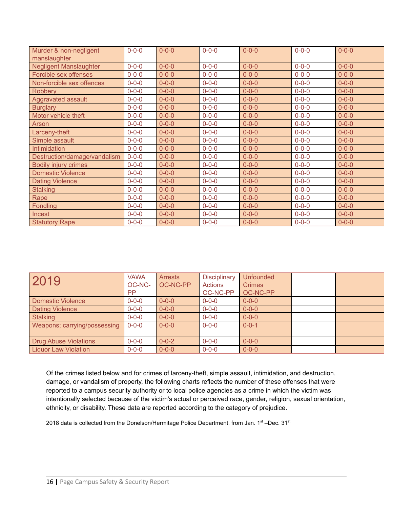| Murder & non-negligent<br>manslaughter | $0 - 0 - 0$ | $0 - 0 - 0$ | $0 - 0 - 0$ | $0 - 0 - 0$ | $0 - 0 - 0$ | $0 - 0 - 0$ |
|----------------------------------------|-------------|-------------|-------------|-------------|-------------|-------------|
| <b>Negligent Manslaughter</b>          | $0 - 0 - 0$ | $0 - 0 - 0$ | $0 - 0 - 0$ | $0 - 0 - 0$ | $0 - 0 - 0$ | $0 - 0 - 0$ |
| Forcible sex offenses                  | $0 - 0 - 0$ | $0 - 0 - 0$ | $0 - 0 - 0$ | $0 - 0 - 0$ | $0 - 0 - 0$ | $0 - 0 - 0$ |
| Non-forcible sex offences              | $0 - 0 - 0$ | $0 - 0 - 0$ | $0 - 0 - 0$ | $0 - 0 - 0$ | $0 - 0 - 0$ | $0 - 0 - 0$ |
| <b>Robbery</b>                         | $0 - 0 - 0$ | $0 - 0 - 0$ | $0 - 0 - 0$ | $0 - 0 - 0$ | $0 - 0 - 0$ | $0 - 0 - 0$ |
| Aggravated assault                     | $0 - 0 - 0$ | $0 - 0 - 0$ | $0 - 0 - 0$ | $0 - 0 - 0$ | $0 - 0 - 0$ | $0 - 0 - 0$ |
| <b>Burglary</b>                        | $0 - 0 - 0$ | $0 - 0 - 0$ | $0 - 0 - 0$ | $0 - 0 - 0$ | $0 - 0 - 0$ | $0 - 0 - 0$ |
| Motor vehicle theft                    | $0 - 0 - 0$ | $0 - 0 - 0$ | $0 - 0 - 0$ | $0 - 0 - 0$ | $0 - 0 - 0$ | $0 - 0 - 0$ |
| Arson                                  | $0 - 0 - 0$ | $0 - 0 - 0$ | $0 - 0 - 0$ | $0 - 0 - 0$ | $0 - 0 - 0$ | $0 - 0 - 0$ |
| Larceny-theft                          | $0 - 0 - 0$ | $0 - 0 - 0$ | $0 - 0 - 0$ | $0 - 0 - 0$ | $0 - 0 - 0$ | $0 - 0 - 0$ |
| Simple assault                         | $0 - 0 - 0$ | $0 - 0 - 0$ | $0 - 0 - 0$ | $0 - 0 - 0$ | $0 - 0 - 0$ | $0 - 0 - 0$ |
| Intimidation                           | $0 - 0 - 0$ | $0 - 0 - 0$ | $0 - 0 - 0$ | $0 - 0 - 0$ | $0 - 0 - 0$ | $0 - 0 - 0$ |
| Destruction/damage/vandalism           | $0 - 0 - 0$ | $0 - 0 - 0$ | $0 - 0 - 0$ | $0 - 0 - 0$ | $0 - 0 - 0$ | $0 - 0 - 0$ |
| <b>Bodily injury crimes</b>            | $0 - 0 - 0$ | $0 - 0 - 0$ | $0 - 0 - 0$ | $0 - 0 - 0$ | $0 - 0 - 0$ | $0 - 0 - 0$ |
| <b>Domestic Violence</b>               | $0 - 0 - 0$ | $0 - 0 - 0$ | $0 - 0 - 0$ | $0 - 0 - 0$ | $0 - 0 - 0$ | $0 - 0 - 0$ |
| <b>Dating Violence</b>                 | $0 - 0 - 0$ | $0 - 0 - 0$ | $0 - 0 - 0$ | $0 - 0 - 0$ | $0 - 0 - 0$ | $0 - 0 - 0$ |
| <b>Stalking</b>                        | $0 - 0 - 0$ | $0 - 0 - 0$ | $0 - 0 - 0$ | $0 - 0 - 0$ | $0 - 0 - 0$ | $0 - 0 - 0$ |
| Rape                                   | $0 - 0 - 0$ | $0 - 0 - 0$ | $0 - 0 - 0$ | $0 - 0 - 0$ | $0 - 0 - 0$ | $0 - 0 - 0$ |
| <b>Fondling</b>                        | $0 - 0 - 0$ | $0 - 0 - 0$ | $0 - 0 - 0$ | $0 - 0 - 0$ | $0 - 0 - 0$ | $0 - 0 - 0$ |
| <b>Incest</b>                          | $0 - 0 - 0$ | $0 - 0 - 0$ | $0 - 0 - 0$ | $0 - 0 - 0$ | $0 - 0 - 0$ | $0 - 0 - 0$ |
| <b>Statutory Rape</b>                  | $0 - 0 - 0$ | $0 - 0 - 0$ | $0 - 0 - 0$ | $0 - 0 - 0$ | $0 - 0 - 0$ | $0 - 0 - 0$ |

| 2019                         | <b>VAWA</b><br>OC-NC-<br>PP. | <b>Arrests</b><br>OC-NC-PP | <b>Disciplinary</b><br><b>Actions</b><br>OC-NC-PP | <b>Unfounded</b><br><b>Crimes</b><br>OC-NC-PP |  |
|------------------------------|------------------------------|----------------------------|---------------------------------------------------|-----------------------------------------------|--|
| Domestic Violence            | $0 - 0 - 0$                  | $0 - 0 - 0$                | $0 - 0 - 0$                                       | $0 - 0 - 0$                                   |  |
| <b>Dating Violence</b>       | $0 - 0 - 0$                  | $0 - 0 - 0$                | $0 - 0 - 0$                                       | $0 - 0 - 0$                                   |  |
| <b>Stalking</b>              | $0 - 0 - 0$                  | $0 - 0 - 0$                | $0 - 0 - 0$                                       | $0 - 0 - 0$                                   |  |
| Weapons; carrying/possessing | $0 - 0 - 0$                  | $0 - 0 - 0$                | $0 - 0 - 0$                                       | $0 - 0 - 1$                                   |  |
| <b>Drug Abuse Violations</b> | $0 - 0 - 0$                  | $0 - 0 - 2$                | $0 - 0 - 0$                                       | $0 - 0 - 0$                                   |  |
| <b>Liquor Law Violation</b>  | $0 - 0 - 0$                  | $0 - 0 - 0$                | $0 - 0 - 0$                                       | $0 - 0 - 0$                                   |  |

Of the crimes listed below and for crimes of larceny-theft, simple assault, intimidation, and destruction, damage, or vandalism of property, the following charts reflects the number of these offenses that were reported to a campus security authority or to local police agencies as a crime in which the victim was intentionally selected because of the victim's actual or perceived race, gender, religion, sexual orientation, ethnicity, or disability. These data are reported according to the category of prejudice.

2018 data is collected from the Donelson/Hermitage Police Department. from Jan. 1<sup>st</sup> –Dec. 31<sup>st</sup>